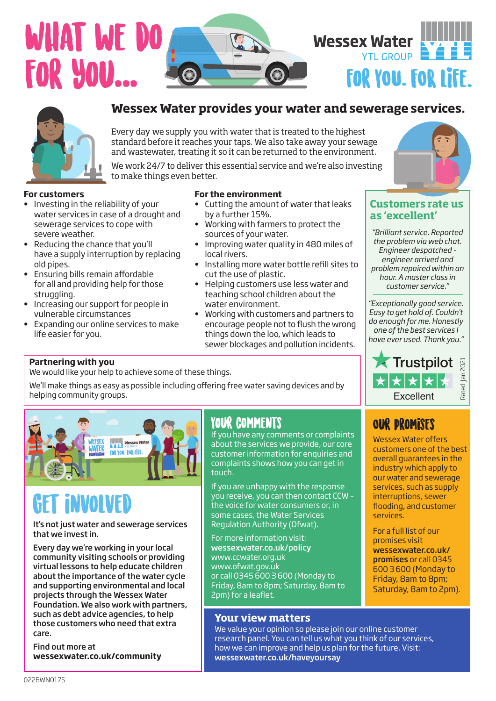# WHAT WE D for you... **m S Jim ith**





## **Wessex Water provides your water and sewerage services.**

Every day we supply you with water that is treated to the highest standard before it reaches your taps. We also take away your sewage and wastewater, treating it so it can be returned to the environment.

Issue date:**/0 2202/29177 <sup>98</sup> <sup>68</sup>**

We work 24/7 to deliver this essential service and we're also investing to make things even better.

## **For customers**

- Investing in the reliability of your water services in case of a drought and sewerage services to cope with severe weather.
- Reducing the chance that you'll have a supply interruption by replacing old pipes.
- Ensuring bills remain affordable for all and providing help for those struggling.
- Increasing our support for people in vulnerable circumstances
- Expanding our online services to make life easier for you.

## **For the environment**

- **•** Cutting the amount of water that leaks by a further 15%.
- Working with farmers to protect the sources of your water.
- Improving water quality in 480 miles of local rivers.
- Installing more water bottle refill sites to cut the use of plastic.
- Helping customers use less water and teaching school children about the water environment.
- Working with customers and partners to encourage people not to flush the wrong things down the loo, which leads to sewer blockages and pollution incidents.



## **Customers rate us as 'excellent'**

*"Brilliant service. Reported the problem via web chat. Engineer despatched engineer arrived and problem repaired within an hour. A master class in customer service."*

*"Exceptionally good service. Easy to get hold of. Couldn't do enough for me. Honestly one of the best services I have ever used. Thank you."*

## Partnering with you

**Partnering with you** We would like your help to achieve some of these things.

We'll make things as easy as possible including offering free water saving devices and by helping community groups.



## Get involved

It's not just water and sewerage services that we invest in.

Every day we're working in your local community visiting schools or providing virtual lessons to help educate children about the importance of the water cycle and supporting environmental and local projects through the Wessex Water Foundation. We also work with partners, such as debt advice agencies, to help those customers who need that extra care.

Find out more at **wessexwater.co.uk/community** 

## Your comments

If you have any comments or complaints about the services we provide, our core customer information for enquiries and complaints shows how you can get in touch.

If you are unhappy with the response you receive, you can then contact CCW – the voice for water consumers or, in some cases, the Water Services Regulation Authority (Ofwat).

For more information visit: wessexwater.co.uk/policy www.ccwater.org.uk www.ofwat.gov.uk or call 0345 600 3 600 (Monday to Friday, 8am to 8pm; Saturday, 8am to 2pm) for a leaflet.

## **Your view matters**

We value your opinion so please join our online customer

research panel. You can tell us what you think of our services, how we can improve and help us plan for the future. Visit: wessexwater.co.uk/haveyoursay



Excellent

\*\*\*

**X** Trustpilot

Rated: Jan 2021

Rated:

**E2021**  $\overline{a}$ 

Wessex Water offers customers one of the best overall guarantees in the industry which apply to our water and sewerage services, such as supply interruptions, sewer flooding, and customer services.

For a full list of our promises visit wessexwater.co.uk/ promises or call 0345 600 3 600 (Monday to Friday, 8am to 8pm; Saturday, 8am to 2pm).